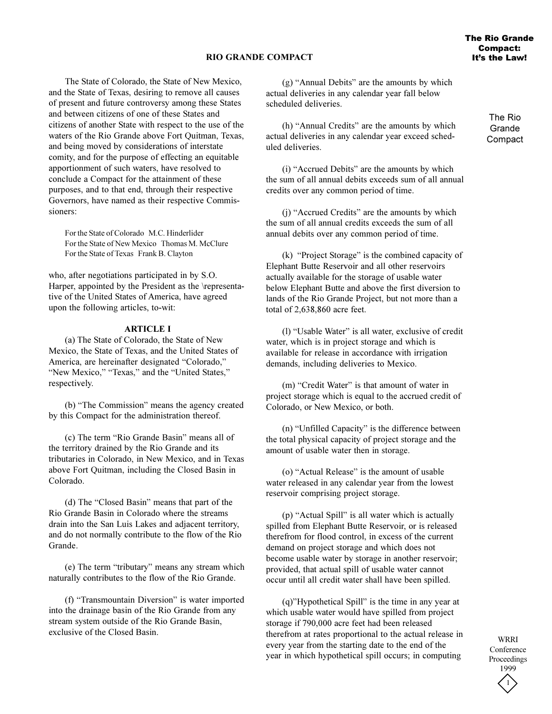# **RIO GRANDE COMPACT**

The State of Colorado, the State of New Mexico, and the State of Texas, desiring to remove all causes of present and future controversy among these States and between citizens of one of these States and citizens of another State with respect to the use of the waters of the Rio Grande above Fort Ouitman, Texas, and being moved by considerations of interstate comity, and for the purpose of effecting an equitable apportionment of such waters, have resolved to conclude a Compact for the attainment of these purposes, and to that end, through their respective Governors, have named as their respective Commissioners:

For the State of Colorado M.C. Hinderlider For the State of New Mexico Thomas M. McClure For the State of Texas Frank B. Clayton

who, after negotiations participated in by S.O. Harper, appointed by the President as the \representative of the United States of America, have agreed upon the following articles, to-wit:

### **ARTICLE I**

(a) The State of Colorado, the State of New Mexico, the State of Texas, and the United States of America, are hereinafter designated "Colorado," "New Mexico," "Texas," and the "United States," respectively.

(b) "The Commission" means the agency created by this Compact for the administration thereof.

(c) The term "Rio Grande Basin" means all of the territory drained by the Rio Grande and its tributaries in Colorado, in New Mexico, and in Texas above Fort Quitman, including the Closed Basin in Colorado.

(d) The "Closed Basin" means that part of the Rio Grande Basin in Colorado where the streams drain into the San Luis Lakes and adjacent territory, and do not normally contribute to the flow of the Rio Grande.

(e) The term "tributary" means any stream which naturally contributes to the flow of the Rio Grande.

(f) "Transmountain Diversion" is water imported into the drainage basin of the Rio Grande from any stream system outside of the Rio Grande Basin, exclusive of the Closed Basin.

 $(g)$  "Annual Debits" are the amounts by which actual deliveries in any calendar year fall below scheduled deliveries.

 $(h)$  "Annual Credits" are the amounts by which actual deliveries in any calendar year exceed scheduled deliveries.

(i) "Accrued Debits" are the amounts by which the sum of all annual debits exceeds sum of all annual credits over any common period of time.

(i) "Accrued Credits" are the amounts by which the sum of all annual credits exceeds the sum of all annual debits over any common period of time.

 $(k)$  "Project Storage" is the combined capacity of Elephant Butte Reservoir and all other reservoirs actually available for the storage of usable water below Elephant Butte and above the first diversion to lands of the Rio Grande Project, but not more than a total of 2,638,860 acre feet.

(I) "Usable Water" is all water, exclusive of credit water, which is in project storage and which is available for release in accordance with irrigation demands, including deliveries to Mexico.

(m) "Credit Water" is that amount of water in project storage which is equal to the accrued credit of Colorado, or New Mexico, or both.

 $(n)$  "Unfilled Capacity" is the difference between the total physical capacity of project storage and the amount of usable water then in storage.

(o) "Actual Release" is the amount of usable water released in any calendar year from the lowest reservoir comprising project storage.

 $(p)$  "Actual Spill" is all water which is actually spilled from Elephant Butte Reservoir, or is released therefrom for flood control, in excess of the current demand on project storage and which does not become usable water by storage in another reservoir; provided, that actual spill of usable water cannot occur until all credit water shall have been spilled.

 $(q)$ "Hypothetical Spill" is the time in any year at which usable water would have spilled from project storage if 790,000 acre feet had been released therefrom at rates proportional to the actual release in every year from the starting date to the end of the year in which hypothetical spill occurs; in computing

The Rio **Grande Compact**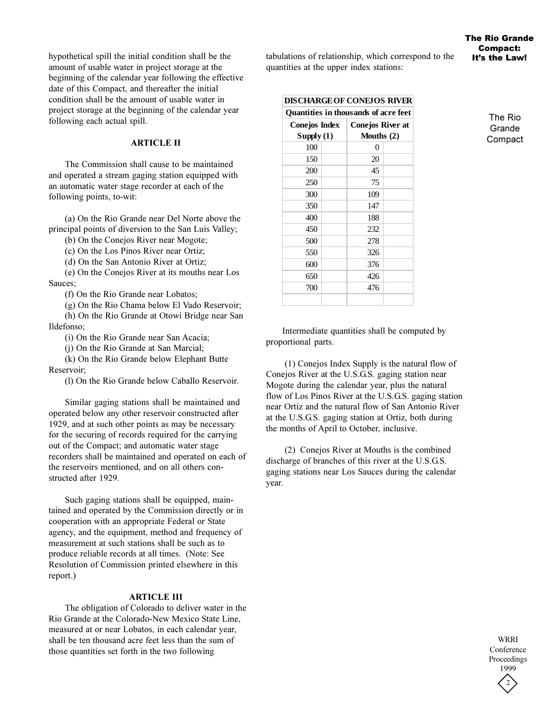hypothetical spill the initial condition shall be the amount of usable water in project storage at the beginning of the calendar year following the effective date of this Compact, and thereafter the initial condition shall be the amount of usable water in project storage at the beginning of the calendar year following each actual spill.

# **ARTICLE II**

The Commission shall cause to be maintained and operated a stream gaging station equipped with an automatic water stage recorder at each of the following points, to-wit:

(a) On the Rio Grande near Del Norte above the principal points of diversion to the San Luis Valley;

(b) On the Conejos River near Mogote;

(c) On the Los Pinos River near Ortiz;

(d) On the San Antonio River at Ortiz;

(e) On the Conejos River at its mouths near Los Sauces;

(f) On the Rio Grande near Lobatos;

(g) On the Rio Chama below El Vado Reservoir;

(h) On the Rio Grande at Otowi Bridge near San Ildefonso;

(i) On the Rio Grande near San Acacia;

(j) On the Rio Grande at San Marcial;

(k) On the Rio Grande below Elephant Butte Reservoir;

(l) On the Rio Grande below Caballo Reservoir.

Similar gaging stations shall be maintained and operated below any other reservoir constructed after 1929, and at such other points as may be necessary for the securing of records required for the carrying out of the Compact; and automatic water stage recorders shall be maintained and operated on each of the reservoirs mentioned, and on all others constructed after 1929.

Such gaging stations shall be equipped, maintained and operated by the Commission directly or in cooperation with an appropriate Federal or State agency, and the equipment, method and frequency of measurement at such stations shall be such as to produce reliable records at all times. (Note: See Resolution of Commission printed elsewhere in this report.)

### **ARTICLE III**

The obligation of Colorado to deliver water in the Rio Grande at the Colorado-New Mexico State Line, measured at or near Lobatos, in each calendar year, shall be ten thousand acre feet less than the sum of those quantities set forth in the two following

tabulations of relationship, which correspond to the quantities at the upper index stations:

**DISCHARGE OF CONEJOS RIVER**

| Quantities in thousands of acre feet |  |                         |  |
|--------------------------------------|--|-------------------------|--|
| Conejos Index                        |  | <b>Conejos River at</b> |  |
| $S$ upply $(1)$                      |  | Mouths $(2)$            |  |
| 100                                  |  | 0                       |  |
| 150                                  |  | 20                      |  |
| 200                                  |  | 45                      |  |
| 250                                  |  | 75                      |  |
| 300                                  |  | 109                     |  |
| 350                                  |  | 147                     |  |
| 400                                  |  | 188                     |  |
| 450                                  |  | 232                     |  |
| 500                                  |  | 278                     |  |
| 550                                  |  | 326                     |  |
| 600                                  |  | 376                     |  |
| 650                                  |  | 426                     |  |
| 700                                  |  | 476                     |  |
|                                      |  |                         |  |

The Rio Grande **Compact** 

Intermediate quantities shall be computed by proportional parts.

 (1) Conejos Index Supply is the natural flow of Conejos River at the U.S.G.S. gaging station near Mogote during the calendar year, plus the natural flow of Los Pinos River at the U.S.G.S. gaging station near Ortiz and the natural flow of San Antonio River at the U.S.G.S. gaging station at Ortiz, both during the months of April to October, inclusive.

 (2) Conejos River at Mouths is the combined discharge of branches of this river at the U.S.G.S. gaging stations near Los Sauces during the calendar year.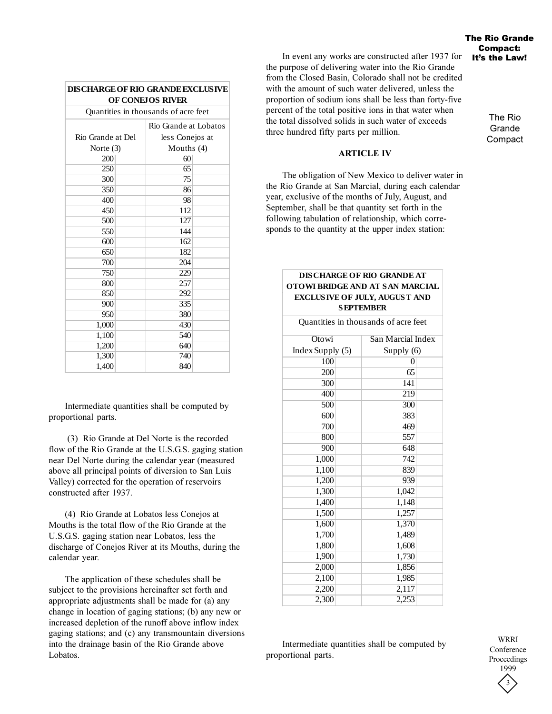| OF CONEJOS RIVER                     |                       |  |  |  |
|--------------------------------------|-----------------------|--|--|--|
| Quantities in thousands of acre feet |                       |  |  |  |
|                                      | Rio Grande at Lobatos |  |  |  |
| Rio Grande at Del                    | less Conejos at       |  |  |  |
| Norte $(3)$                          | Mouths $(4)$          |  |  |  |
| 200                                  | 60                    |  |  |  |
| 250                                  | 65                    |  |  |  |
| 300                                  | 75                    |  |  |  |
| 350                                  | 86                    |  |  |  |
| 400                                  | 98                    |  |  |  |
| 450                                  | 112                   |  |  |  |
| 500                                  | 127                   |  |  |  |
| 550                                  | 144                   |  |  |  |
| 600                                  | 162                   |  |  |  |
| 650                                  | 182                   |  |  |  |
| 700                                  | 204                   |  |  |  |
| 750                                  | 229                   |  |  |  |
| 800                                  | 257                   |  |  |  |
| 850                                  | 292                   |  |  |  |
| 900                                  | 335                   |  |  |  |
| 950                                  | 380                   |  |  |  |
| 1,000                                | 430                   |  |  |  |
| 1,100                                | 540                   |  |  |  |
| 1,200                                | 640                   |  |  |  |
| 1,300                                | 740                   |  |  |  |
| 1,400                                | 840                   |  |  |  |

**DISCHARGE OF RIO GRANDE EXCLUSIVE** 

Intermediate quantities shall be computed by proportional parts.

 (3) Rio Grande at Del Norte is the recorded flow of the Rio Grande at the U.S.G.S. gaging station near Del Norte during the calendar year (measured above all principal points of diversion to San Luis Valley) corrected for the operation of reservoirs constructed after 1937.

(4) Rio Grande at Lobatos less Conejos at Mouths is the total flow of the Rio Grande at the U.S.G.S. gaging station near Lobatos, less the discharge of Conejos River at its Mouths, during the calendar year.

The application of these schedules shall be subject to the provisions hereinafter set forth and appropriate adjustments shall be made for (a) any change in location of gaging stations; (b) any new or increased depletion of the runoff above inflow index gaging stations; and (c) any transmountain diversions into the drainage basin of the Rio Grande above Lobatos.

In event any works are constructed after 1937 for the purpose of delivering water into the Rio Grande from the Closed Basin, Colorado shall not be credited with the amount of such water delivered, unless the proportion of sodium ions shall be less than forty-five percent of the total positive ions in that water when the total dissolved solids in such water of exceeds three hundred fifty parts per million.

#### **ARTICLE IV**

The obligation of New Mexico to deliver water in the Rio Grande at San Marcial, during each calendar year, exclusive of the months of July, August, and September, shall be that quantity set forth in the following tabulation of relationship, which corresponds to the quantity at the upper index station:

### **DISCHARGE OF RIO GRANDE AT OTOWI BRIDGE AND AT SAN MARCIAL EXCLUSIVE OF JULY, AUGUST AND SEPTEMBER**

100 0 200 65 300 141 400 219 500 300 600 383 700 469 800 557 900 648 1,000 742 1,100 839 1,200 939 1,300 1,042 1,400 1,148 1,500 1,257 1,600 1,370 1,700 1,489 1,800 1,608 1,900 1,730 2,000 1,856 2,100 1,985 2,200 2,117 2,300 2,253 Quantities in thousands of acre feet **Otowi** Index Supply (5) San Marcial Index Supply (6)

Intermediate quantities shall be computed by proportional parts.

3 WRRI Conference Proceedings 1999

The Rio Grande Compact: It's the Law!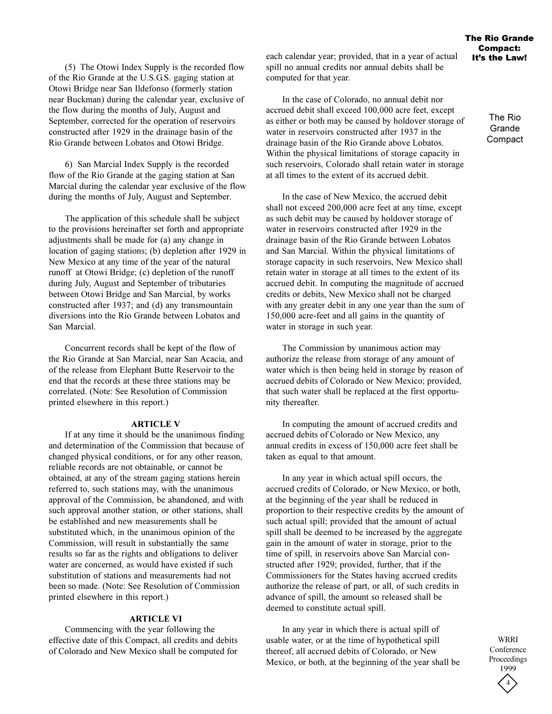(5) The Otowi Index Supply is the recorded flow of the Rio Grande at the U.S.G.S. gaging station at Otowi Bridge near San Ildefonso (formerly station near Buckman) during the calendar year, exclusive of the flow during the months of July, August and September, corrected for the operation of reservoirs constructed after 1929 in the drainage basin of the Rio Grande between Lobatos and Otowi Bridge.

6) San Marcial Index Supply is the recorded flow of the Rio Grande at the gaging station at San Marcial during the calendar year exclusive of the flow during the months of July, August and September.

The application of this schedule shall be subject to the provisions hereinafter set forth and appropriate adjustments shall be made for (a) any change in location of gaging stations; (b) depletion after 1929 in New Mexico at any time of the year of the natural runoff at Otowi Bridge; (c) depletion of the runoff during July, August and September of tributaries between Otowi Bridge and San Marcial, by works constructed after 1937; and (d) any transmountain diversions into the Rio Grande between Lobatos and San Marcial.

Concurrent records shall be kept of the flow of the Rio Grande at San Marcial, near San Acacia, and of the release from Elephant Butte Reservoir to the end that the records at these three stations may be correlated. (Note: See Resolution of Commission printed elsewhere in this report.)

#### **ARTICLE V**

If at any time it should be the unanimous finding and determination of the Commission that because of changed physical conditions, or for any other reason, reliable records are not obtainable, or cannot be obtained, at any of the stream gaging stations herein referred to, such stations may, with the unanimous approval of the Commission, be abandoned, and with such approval another station, or other stations, shall be established and new measurements shall be substituted which, in the unanimous opinion of the Commission, will result in substantially the same results so far as the rights and obligations to deliver water are concerned, as would have existed if such substitution of stations and measurements had not been so made. (Note: See Resolution of Commission printed elsewhere in this report.)

### **ARTICLE VI**

Commencing with the year following the effective date of this Compact, all credits and debits of Colorado and New Mexico shall be computed for

each calendar year; provided, that in a year of actual spill no annual credits nor annual debits shall be computed for that year.

In the case of Colorado, no annual debit nor accrued debit shall exceed 100,000 acre feet, except as either or both may be caused by holdover storage of water in reservoirs constructed after 1937 in the drainage basin of the Rio Grande above Lobatos. Within the physical limitations of storage capacity in such reservoirs, Colorado shall retain water in storage at all times to the extent of its accrued debit.

In the case of New Mexico, the accrued debit shall not exceed 200,000 acre feet at any time, except as such debit may be caused by holdover storage of water in reservoirs constructed after 1929 in the drainage basin of the Rio Grande between Lobatos and San Marcial. Within the physical limitations of storage capacity in such reservoirs, New Mexico shall retain water in storage at all times to the extent of its accrued debit. In computing the magnitude of accrued credits or debits, New Mexico shall not be charged with any greater debit in any one year than the sum of 150,000 acre-feet and all gains in the quantity of water in storage in such year.

The Commission by unanimous action may authorize the release from storage of any amount of water which is then being held in storage by reason of accrued debits of Colorado or New Mexico; provided, that such water shall be replaced at the first opportunity thereafter.

In computing the amount of accrued credits and accrued debits of Colorado or New Mexico, any annual credits in excess of 150,000 acre feet shall be taken as equal to that amount.

In any year in which actual spill occurs, the accrued credits of Colorado, or New Mexico, or both, at the beginning of the year shall be reduced in proportion to their respective credits by the amount of such actual spill; provided that the amount of actual spill shall be deemed to be increased by the aggregate gain in the amount of water in storage, prior to the time of spill, in reservoirs above San Marcial constructed after 1929; provided, further, that if the Commissioners for the States having accrued credits authorize the release of part, or all, of such credits in advance of spill, the amount so released shall be deemed to constitute actual spill.

In any year in which there is actual spill of usable water, or at the time of hypothetical spill thereof, all accrued debits of Colorado, or New Mexico, or both, at the beginning of the year shall be

The Rio **Grande Compact**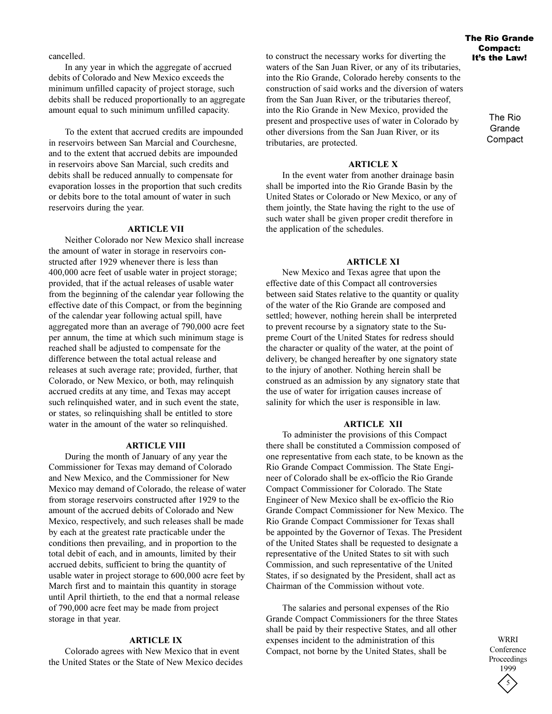cancelled.

In any year in which the aggregate of accrued debits of Colorado and New Mexico exceeds the minimum unfilled capacity of project storage, such debits shall be reduced proportionally to an aggregate amount equal to such minimum unfilled capacity.

To the extent that accrued credits are impounded in reservoirs between San Marcial and Courchesne, and to the extent that accrued debits are impounded in reservoirs above San Marcial, such credits and debits shall be reduced annually to compensate for evaporation losses in the proportion that such credits or debits bore to the total amount of water in such reservoirs during the year.

# **ARTICLE VII**

Neither Colorado nor New Mexico shall increase the amount of water in storage in reservoirs constructed after 1929 whenever there is less than 400,000 acre feet of usable water in project storage; provided, that if the actual releases of usable water from the beginning of the calendar year following the effective date of this Compact, or from the beginning of the calendar year following actual spill, have aggregated more than an average of 790,000 acre feet per annum, the time at which such minimum stage is reached shall be adjusted to compensate for the difference between the total actual release and releases at such average rate; provided, further, that Colorado, or New Mexico, or both, may relinquish accrued credits at any time, and Texas may accept such relinquished water, and in such event the state, or states, so relinquishing shall be entitled to store water in the amount of the water so relinquished.

## **ARTICLE VIII**

During the month of January of any year the Commissioner for Texas may demand of Colorado and New Mexico, and the Commissioner for New Mexico may demand of Colorado, the release of water from storage reservoirs constructed after 1929 to the amount of the accrued debits of Colorado and New Mexico, respectively, and such releases shall be made by each at the greatest rate practicable under the conditions then prevailing, and in proportion to the total debit of each, and in amounts, limited by their accrued debits, sufficient to bring the quantity of usable water in project storage to 600,000 acre feet by March first and to maintain this quantity in storage until April thirtieth, to the end that a normal release of 790,000 acre feet may be made from project storage in that year.

# **ARTICLE IX**

Colorado agrees with New Mexico that in event the United States or the State of New Mexico decides to construct the necessary works for diverting the waters of the San Juan River, or any of its tributaries, into the Rio Grande, Colorado hereby consents to the construction of said works and the diversion of waters from the San Juan River, or the tributaries thereof, into the Rio Grande in New Mexico, provided the present and prospective uses of water in Colorado by other diversions from the San Juan River, or its tributaries, are protected.

# **ARTICLE X**

In the event water from another drainage basin shall be imported into the Rio Grande Basin by the United States or Colorado or New Mexico, or any of them jointly, the State having the right to the use of such water shall be given proper credit therefore in the application of the schedules.

## **ARTICLE XI**

New Mexico and Texas agree that upon the effective date of this Compact all controversies between said States relative to the quantity or quality of the water of the Rio Grande are composed and settled; however, nothing herein shall be interpreted to prevent recourse by a signatory state to the Supreme Court of the United States for redress should the character or quality of the water, at the point of delivery, be changed hereafter by one signatory state to the injury of another. Nothing herein shall be construed as an admission by any signatory state that the use of water for irrigation causes increase of salinity for which the user is responsible in law.

#### **ARTICLE XII**

To administer the provisions of this Compact there shall be constituted a Commission composed of one representative from each state, to be known as the Rio Grande Compact Commission. The State Engineer of Colorado shall be ex-officio the Rio Grande Compact Commissioner for Colorado. The State Engineer of New Mexico shall be ex-officio the Rio Grande Compact Commissioner for New Mexico. The Rio Grande Compact Commissioner for Texas shall be appointed by the Governor of Texas. The President of the United States shall be requested to designate a representative of the United States to sit with such Commission, and such representative of the United States, if so designated by the President, shall act as Chairman of the Commission without vote.

The salaries and personal expenses of the Rio Grande Compact Commissioners for the three States shall be paid by their respective States, and all other expenses incident to the administration of this Compact, not borne by the United States, shall be

5 WRRI Conference Proceedings 1999

### The Rio Grande Compact: It's the Law!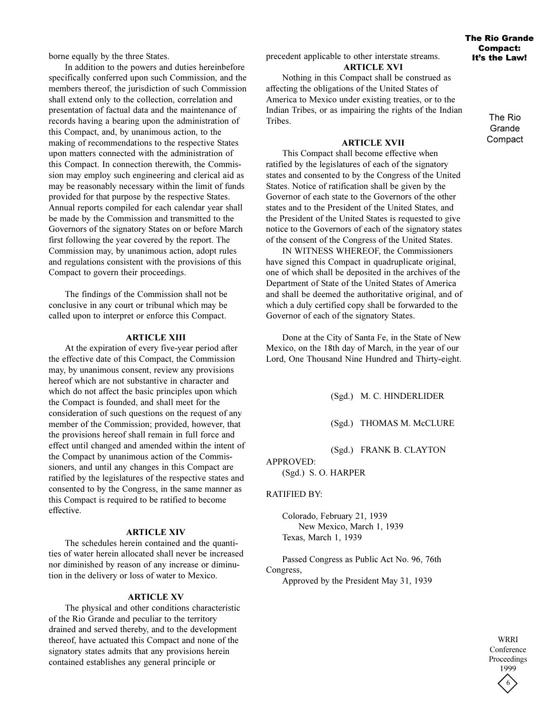borne equally by the three States.

In addition to the powers and duties hereinbefore specifically conferred upon such Commission, and the members thereof, the jurisdiction of such Commission shall extend only to the collection, correlation and presentation of factual data and the maintenance of records having a bearing upon the administration of this Compact, and, by unanimous action, to the making of recommendations to the respective States upon matters connected with the administration of this Compact. In connection therewith, the Commission may employ such engineering and clerical aid as may be reasonably necessary within the limit of funds provided for that purpose by the respective States. Annual reports compiled for each calendar year shall be made by the Commission and transmitted to the Governors of the signatory States on or before March first following the year covered by the report. The Commission may, by unanimous action, adopt rules and regulations consistent with the provisions of this Compact to govern their proceedings.

The findings of the Commission shall not be conclusive in any court or tribunal which may be called upon to interpret or enforce this Compact.

#### **ARTICLE XIII**

At the expiration of every five-year period after the effective date of this Compact, the Commission may, by unanimous consent, review any provisions hereof which are not substantive in character and which do not affect the basic principles upon which the Compact is founded, and shall meet for the consideration of such questions on the request of any member of the Commission; provided, however, that the provisions hereof shall remain in full force and effect until changed and amended within the intent of the Compact by unanimous action of the Commissioners, and until any changes in this Compact are ratified by the legislatures of the respective states and consented to by the Congress, in the same manner as this Compact is required to be ratified to become effective.

#### **ARTICLE XIV**

The schedules herein contained and the quantities of water herein allocated shall never be increased nor diminished by reason of any increase or diminution in the delivery or loss of water to Mexico.

### **ARTICLE XV**

The physical and other conditions characteristic of the Rio Grande and peculiar to the territory drained and served thereby, and to the development thereof, have actuated this Compact and none of the signatory states admits that any provisions herein contained establishes any general principle or

precedent applicable to other interstate streams.

# **ARTICLE XVI**

Nothing in this Compact shall be construed as affecting the obligations of the United States of America to Mexico under existing treaties, or to the Indian Tribes, or as impairing the rights of the Indian Tribes.

#### **ARTICLE XVII**

This Compact shall become effective when ratified by the legislatures of each of the signatory states and consented to by the Congress of the United States. Notice of ratification shall be given by the Governor of each state to the Governors of the other states and to the President of the United States, and the President of the United States is requested to give notice to the Governors of each of the signatory states of the consent of the Congress of the United States.

IN WITNESS WHEREOF, the Commissioners have signed this Compact in quadruplicate original, one of which shall be deposited in the archives of the Department of State of the United States of America and shall be deemed the authoritative original, and of which a duly certified copy shall be forwarded to the Governor of each of the signatory States.

Done at the City of Santa Fe, in the State of New Mexico, on the 18th day of March, in the year of our Lord, One Thousand Nine Hundred and Thirty-eight.

(Sgd.) M. C. HINDERLIDER

(Sgd.) THOMAS M. McCLURE

(Sgd.) FRANK B. CLAYTON

APPROVED: (Sgd.) S. O. HARPER

#### RATIFIED BY:

Colorado, February 21, 1939 New Mexico, March 1, 1939 Texas, March 1, 1939

Passed Congress as Public Act No. 96, 76th Congress,

Approved by the President May 31, 1939

6 WRRI **Conference** Proceedings 1999

# The Rio Grande Compact: It's the Law!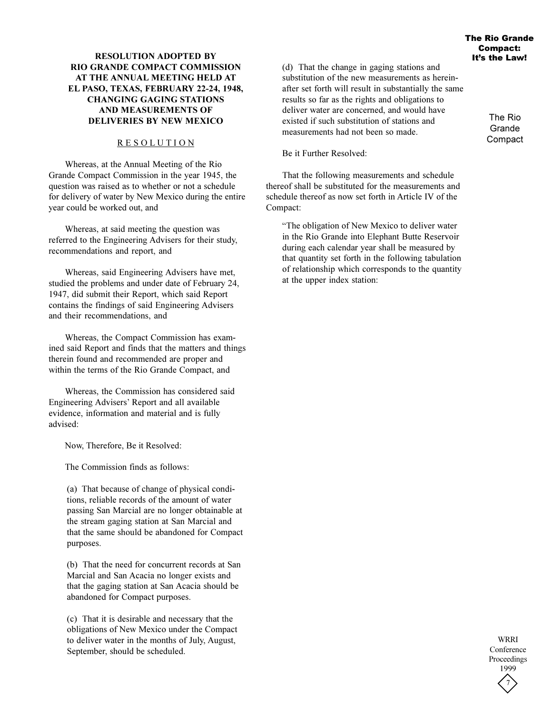# **RESOLUTION ADOPTED BY RIO GRANDE COMPACT COMMISSION AT THE ANNUAL MEETING HELD AT EL PASO, TEXAS, FEBRUARY 22-24, 1948, CHANGING GAGING STATIONS AND MEASUREMENTS OF DELIVERIES BY NEW MEXICO**

# R E S O L U T I O N

Whereas, at the Annual Meeting of the Rio Grande Compact Commission in the year 1945, the question was raised as to whether or not a schedule for delivery of water by New Mexico during the entire year could be worked out, and

Whereas, at said meeting the question was referred to the Engineering Advisers for their study, recommendations and report, and

Whereas, said Engineering Advisers have met, studied the problems and under date of February 24, 1947, did submit their Report, which said Report contains the findings of said Engineering Advisers and their recommendations, and

Whereas, the Compact Commission has examined said Report and finds that the matters and things therein found and recommended are proper and within the terms of the Rio Grande Compact, and

Whereas, the Commission has considered said Engineering Advisers' Report and all available evidence, information and material and is fully advised:

Now, Therefore, Be it Resolved:

The Commission finds as follows:

(a) That because of change of physical conditions, reliable records of the amount of water passing San Marcial are no longer obtainable at the stream gaging station at San Marcial and that the same should be abandoned for Compact purposes.

(b) That the need for concurrent records at San Marcial and San Acacia no longer exists and that the gaging station at San Acacia should be abandoned for Compact purposes.

(c) That it is desirable and necessary that the obligations of New Mexico under the Compact to deliver water in the months of July, August, September, should be scheduled.

(d) That the change in gaging stations and substitution of the new measurements as hereinafter set forth will result in substantially the same results so far as the rights and obligations to deliver water are concerned, and would have existed if such substitution of stations and measurements had not been so made.

Be it Further Resolved:

That the following measurements and schedule thereof shall be substituted for the measurements and schedule thereof as now set forth in Article IV of the Compact:

The obligation of New Mexico to deliver water in the Rio Grande into Elephant Butte Reservoir during each calendar year shall be measured by that quantity set forth in the following tabulation of relationship which corresponds to the quantity at the upper index station:

The Rio **Grande** Compact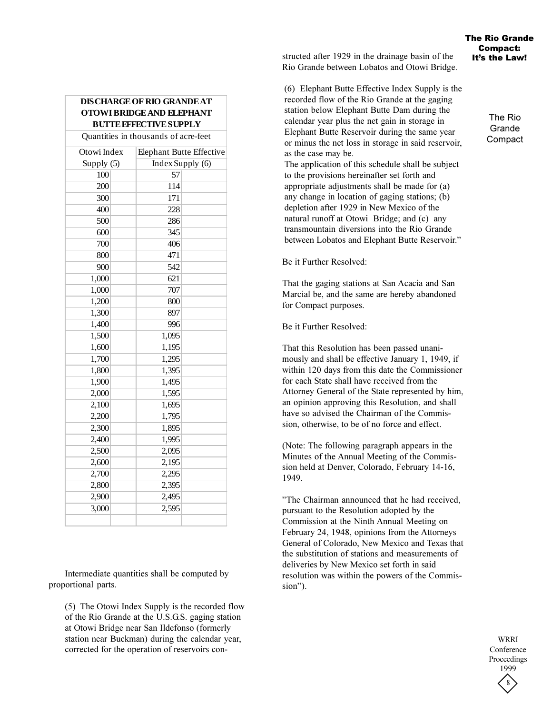The Rio Grande Compact

# **DISCHARGE OF RIO GRANDE AT OTOWI BRIDGE AND ELEPHANT BUTTE EFFECTIVE SUPPLY**

Quantities in thousands of acre-feet

| Otowi Index | Elephant Butte Effective |  |
|-------------|--------------------------|--|
| Supply (5)  | Index Supply (6)         |  |
| 100         | 57                       |  |
| 200         | 114                      |  |
| 300         | 171                      |  |
| 400         | 228                      |  |
| 500         | 286                      |  |
| 600         | 345                      |  |
| 700         | 406                      |  |
| 800         | 471                      |  |
| 900         | 542                      |  |
| 1,000       | 621                      |  |
| 1,000       | 707                      |  |
| 1,200       | 800                      |  |
| 1,300       | 897                      |  |
| 1,400       | 996                      |  |
| 1,500       | 1,095                    |  |
| 1,600       | 1,195                    |  |
| 1,700       | 1,295                    |  |
| 1,800       | 1,395                    |  |
| 1,900       | 1,495                    |  |
| 2,000       | 1,595                    |  |
| 2,100       | 1,695                    |  |
| 2,200       | 1,795                    |  |
| 2,300       | 1,895                    |  |
| 2,400       | 1,995                    |  |
| 2,500       | 2,095                    |  |
| 2,600       | 2,195                    |  |
| 2,700       | 2,295                    |  |
| 2,800       | 2,395                    |  |
| 2,900       | 2,495                    |  |
| 3,000       | 2,595                    |  |
|             |                          |  |

Intermediate quantities shall be computed by proportional parts.

(5) The Otowi Index Supply is the recorded flow of the Rio Grande at the U.S.G.S. gaging station at Otowi Bridge near San Ildefonso (formerly station near Buckman) during the calendar year, corrected for the operation of reservoirs constructed after 1929 in the drainage basin of the Rio Grande between Lobatos and Otowi Bridge.

(6) Elephant Butte Effective Index Supply is the recorded flow of the Rio Grande at the gaging station below Elephant Butte Dam during the calendar year plus the net gain in storage in Elephant Butte Reservoir during the same year or minus the net loss in storage in said reservoir, as the case may be.

The application of this schedule shall be subject to the provisions hereinafter set forth and appropriate adjustments shall be made for (a) any change in location of gaging stations; (b) depletion after 1929 in New Mexico of the natural runoff at Otowi Bridge; and (c) any transmountain diversions into the Rio Grande between Lobatos and Elephant Butte Reservoir.

Be it Further Resolved:

That the gaging stations at San Acacia and San Marcial be, and the same are hereby abandoned for Compact purposes.

Be it Further Resolved:

That this Resolution has been passed unanimously and shall be effective January 1, 1949, if within 120 days from this date the Commissioner for each State shall have received from the Attorney General of the State represented by him, an opinion approving this Resolution, and shall have so advised the Chairman of the Commission, otherwise, to be of no force and effect.

(Note: The following paragraph appears in the Minutes of the Annual Meeting of the Commission held at Denver, Colorado, February 14-16, 1949.

"The Chairman announced that he had received, pursuant to the Resolution adopted by the Commission at the Ninth Annual Meeting on February 24, 1948, opinions from the Attorneys General of Colorado, New Mexico and Texas that the substitution of stations and measurements of deliveries by New Mexico set forth in said resolution was within the powers of the Commission").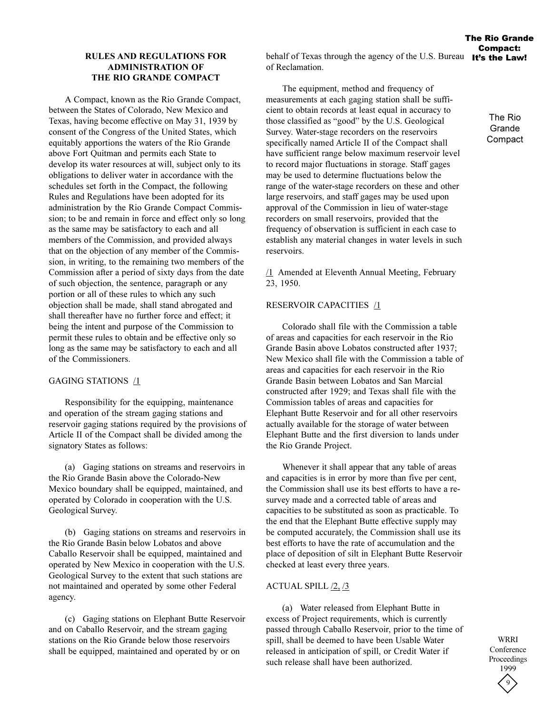# **RULES AND REGULATIONS FOR ADMINISTRATION OF THE RIO GRANDE COMPACT**

A Compact, known as the Rio Grande Compact, between the States of Colorado, New Mexico and Texas, having become effective on May 31, 1939 by consent of the Congress of the United States, which equitably apportions the waters of the Rio Grande above Fort Quitman and permits each State to develop its water resources at will, subject only to its obligations to deliver water in accordance with the schedules set forth in the Compact, the following Rules and Regulations have been adopted for its administration by the Rio Grande Compact Commission; to be and remain in force and effect only so long as the same may be satisfactory to each and all members of the Commission, and provided always that on the objection of any member of the Commission, in writing, to the remaining two members of the Commission after a period of sixty days from the date of such objection, the sentence, paragraph or any portion or all of these rules to which any such objection shall be made, shall stand abrogated and shall thereafter have no further force and effect; it being the intent and purpose of the Commission to permit these rules to obtain and be effective only so long as the same may be satisfactory to each and all of the Commissioners.

# GAGING STATIONS /1

Responsibility for the equipping, maintenance and operation of the stream gaging stations and reservoir gaging stations required by the provisions of Article II of the Compact shall be divided among the signatory States as follows:

(a) Gaging stations on streams and reservoirs in the Rio Grande Basin above the Colorado-New Mexico boundary shall be equipped, maintained, and operated by Colorado in cooperation with the U.S. Geological Survey.

(b) Gaging stations on streams and reservoirs in the Rio Grande Basin below Lobatos and above Caballo Reservoir shall be equipped, maintained and operated by New Mexico in cooperation with the U.S. Geological Survey to the extent that such stations are not maintained and operated by some other Federal agency.

(c) Gaging stations on Elephant Butte Reservoir and on Caballo Reservoir, and the stream gaging stations on the Rio Grande below those reservoirs shall be equipped, maintained and operated by or on

The equipment, method and frequency of measurements at each gaging station shall be sufficient to obtain records at least equal in accuracy to those classified as "good" by the U.S. Geological Survey. Water-stage recorders on the reservoirs specifically named Article II of the Compact shall have sufficient range below maximum reservoir level to record major fluctuations in storage. Staff gages may be used to determine fluctuations below the range of the water-stage recorders on these and other large reservoirs, and staff gages may be used upon approval of the Commission in lieu of water-stage recorders on small reservoirs, provided that the frequency of observation is sufficient in each case to establish any material changes in water levels in such reservoirs.

 $1$  Amended at Eleventh Annual Meeting, February 23, 1950.

# RESERVOIR CAPACITIES /1

Colorado shall file with the Commission a table of areas and capacities for each reservoir in the Rio Grande Basin above Lobatos constructed after 1937; New Mexico shall file with the Commission a table of areas and capacities for each reservoir in the Rio Grande Basin between Lobatos and San Marcial constructed after 1929; and Texas shall file with the Commission tables of areas and capacities for Elephant Butte Reservoir and for all other reservoirs actually available for the storage of water between Elephant Butte and the first diversion to lands under the Rio Grande Project.

Whenever it shall appear that any table of areas and capacities is in error by more than five per cent, the Commission shall use its best efforts to have a resurvey made and a corrected table of areas and capacities to be substituted as soon as practicable. To the end that the Elephant Butte effective supply may be computed accurately, the Commission shall use its best efforts to have the rate of accumulation and the place of deposition of silt in Elephant Butte Reservoir checked at least every three years.

# ACTUAL SPILL /2, /3

(a) Water released from Elephant Butte in excess of Project requirements, which is currently passed through Caballo Reservoir, prior to the time of spill, shall be deemed to have been Usable Water released in anticipation of spill, or Credit Water if such release shall have been authorized.

9 WRRI Conference Proceedings 1999

The Rio **Grande Compact** 

The Rio Grande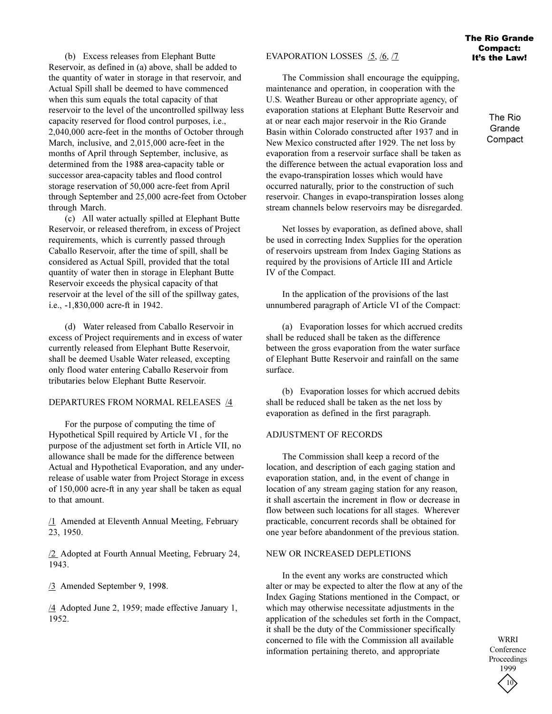(b) Excess releases from Elephant Butte Reservoir, as defined in (a) above, shall be added to the quantity of water in storage in that reservoir, and Actual Spill shall be deemed to have commenced when this sum equals the total capacity of that reservoir to the level of the uncontrolled spillway less capacity reserved for flood control purposes, i.e., 2,040,000 acre-feet in the months of October through March, inclusive, and 2,015,000 acre-feet in the months of April through September, inclusive, as determined from the 1988 area-capacity table or successor area-capacity tables and flood control storage reservation of 50,000 acre-feet from April through September and 25,000 acre-feet from October through March.

(c) All water actually spilled at Elephant Butte Reservoir, or released therefrom, in excess of Project requirements, which is currently passed through Caballo Reservoir, after the time of spill, shall be considered as Actual Spill, provided that the total quantity of water then in storage in Elephant Butte Reservoir exceeds the physical capacity of that reservoir at the level of the sill of the spillway gates, i.e., -1,830,000 acre-ft in 1942.

(d) Water released from Caballo Reservoir in excess of Project requirements and in excess of water currently released from Elephant Butte Reservoir, shall be deemed Usable Water released, excepting only flood water entering Caballo Reservoir from tributaries below Elephant Butte Reservoir.

### DEPARTURES FROM NORMAL RELEASES /4

For the purpose of computing the time of Hypothetical Spill required by Article VI , for the purpose of the adjustment set forth in Article VII, no allowance shall be made for the difference between Actual and Hypothetical Evaporation, and any underrelease of usable water from Project Storage in excess of 150,000 acre-ft in any year shall be taken as equal to that amount.

/1 Amended at Eleventh Annual Meeting, February 23, 1950.

/2 Adopted at Fourth Annual Meeting, February 24, 1943.

/3 Amended September 9, 1998.

/4 Adopted June 2, 1959; made effective January 1, 1952.

#### EVAPORATION LOSSES /5, /6, /7

The Commission shall encourage the equipping, maintenance and operation, in cooperation with the U.S. Weather Bureau or other appropriate agency, of evaporation stations at Elephant Butte Reservoir and at or near each major reservoir in the Rio Grande Basin within Colorado constructed after 1937 and in New Mexico constructed after 1929. The net loss by evaporation from a reservoir surface shall be taken as the difference between the actual evaporation loss and the evapo-transpiration losses which would have occurred naturally, prior to the construction of such reservoir. Changes in evapo-transpiration losses along stream channels below reservoirs may be disregarded.

Net losses by evaporation, as defined above, shall be used in correcting Index Supplies for the operation of reservoirs upstream from Index Gaging Stations as required by the provisions of Article III and Article IV of the Compact.

In the application of the provisions of the last unnumbered paragraph of Article VI of the Compact:

(a) Evaporation losses for which accrued credits shall be reduced shall be taken as the difference between the gross evaporation from the water surface of Elephant Butte Reservoir and rainfall on the same surface.

(b) Evaporation losses for which accrued debits shall be reduced shall be taken as the net loss by evaporation as defined in the first paragraph.

#### ADJUSTMENT OF RECORDS

The Commission shall keep a record of the location, and description of each gaging station and evaporation station, and, in the event of change in location of any stream gaging station for any reason, it shall ascertain the increment in flow or decrease in flow between such locations for all stages. Wherever practicable, concurrent records shall be obtained for one year before abandonment of the previous station.

#### NEW OR INCREASED DEPLETIONS

In the event any works are constructed which alter or may be expected to alter the flow at any of the Index Gaging Stations mentioned in the Compact, or which may otherwise necessitate adjustments in the application of the schedules set forth in the Compact, it shall be the duty of the Commissioner specifically concerned to file with the Commission all available information pertaining thereto, and appropriate

The Rio Grande Compact: It's the Law!

> The Rio **Grande Compact**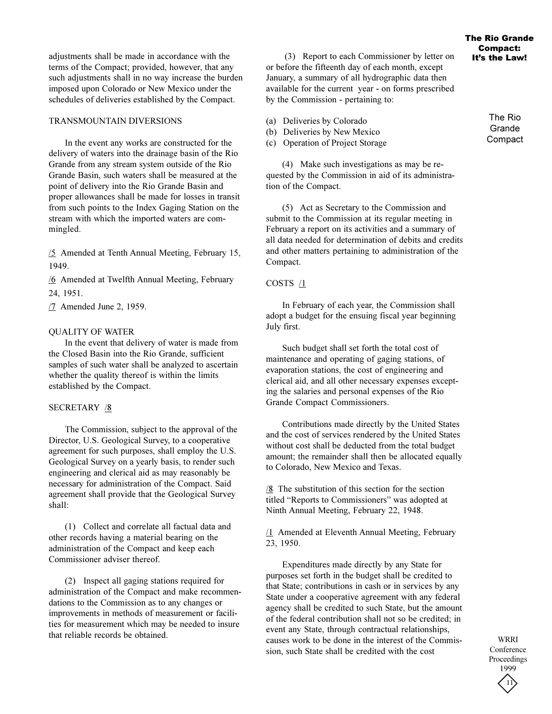adjustments shall be made in accordance with the terms of the Compact; provided, however, that any such adjustments shall in no way increase the burden imposed upon Colorado or New Mexico under the schedules of deliveries established by the Compact.

# TRANSMOUNTAIN DIVERSIONS

In the event any works are constructed for the delivery of waters into the drainage basin of the Rio Grande from any stream system outside of the Rio Grande Basin, such waters shall be measured at the point of delivery into the Rio Grande Basin and proper allowances shall be made for losses in transit from such points to the Index Gaging Station on the stream with which the imported waters are commingled.

/5 Amended at Tenth Annual Meeting, February 15, 1949.

/6 Amended at Twelfth Annual Meeting, February 24, 1951.

/7 Amended June 2, 1959.

# QUALITY OF WATER

In the event that delivery of water is made from the Closed Basin into the Rio Grande, sufficient samples of such water shall be analyzed to ascertain whether the quality thereof is within the limits established by the Compact.

# SECRETARY /8

The Commission, subject to the approval of the Director, U.S. Geological Survey, to a cooperative agreement for such purposes, shall employ the U.S. Geological Survey on a yearly basis, to render such engineering and clerical aid as may reasonably be necessary for administration of the Compact. Said agreement shall provide that the Geological Survey shall:

(1) Collect and correlate all factual data and other records having a material bearing on the administration of the Compact and keep each Commissioner adviser thereof.

(2) Inspect all gaging stations required for administration of the Compact and make recommendations to the Commission as to any changes or improvements in methods of measurement or facilities for measurement which may be needed to insure that reliable records be obtained.

 (3) Report to each Commissioner by letter on or before the fifteenth day of each month, except January, a summary of all hydrographic data then available for the current year - on forms prescribed by the Commission - pertaining to:

- (a) Deliveries by Colorado
- (b) Deliveries by New Mexico
- (c) Operation of Project Storage

(4) Make such investigations as may be requested by the Commission in aid of its administration of the Compact.

(5) Act as Secretary to the Commission and submit to the Commission at its regular meeting in February a report on its activities and a summary of all data needed for determination of debits and credits and other matters pertaining to administration of the Compact.

# COSTS  $1$

In February of each year, the Commission shall adopt a budget for the ensuing fiscal year beginning July first.

Such budget shall set forth the total cost of maintenance and operating of gaging stations, of evaporation stations, the cost of engineering and clerical aid, and all other necessary expenses excepting the salaries and personal expenses of the Rio Grande Compact Commissioners.

Contributions made directly by the United States and the cost of services rendered by the United States without cost shall be deducted from the total budget amount; the remainder shall then be allocated equally to Colorado, New Mexico and Texas.

 $/8$  The substitution of this section for the section titled "Reports to Commissioners" was adopted at Ninth Annual Meeting, February 22, 1948.

/1 Amended at Eleventh Annual Meeting, February 23, 1950.

Expenditures made directly by any State for purposes set forth in the budget shall be credited to that State; contributions in cash or in services by any State under a cooperative agreement with any federal agency shall be credited to such State, but the amount of the federal contribution shall not so be credited; in event any State, through contractual relationships, causes work to be done in the interest of the Commission, such State shall be credited with the cost

11 WRRI Conference Proceedings 1999